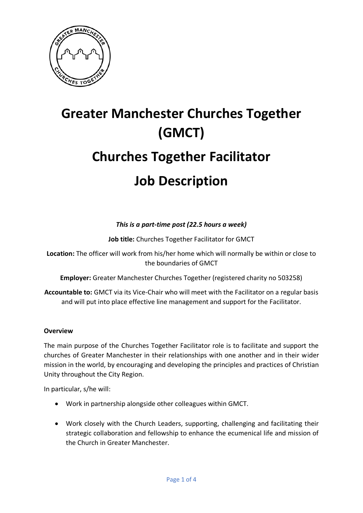

# **Greater Manchester Churches Together (GMCT) Churches Together Facilitator Job Description**

## *This is a part-time post (22.5 hours a week)*

**Job title:** Churches Together Facilitator for GMCT

**Location:** The officer will work from his/her home which will normally be within or close to the boundaries of GMCT

**Employer:** Greater Manchester Churches Together (registered charity no 503258)

**Accountable to:** GMCT via its Vice-Chair who will meet with the Facilitator on a regular basis and will put into place effective line management and support for the Facilitator.

#### **Overview**

The main purpose of the Churches Together Facilitator role is to facilitate and support the churches of Greater Manchester in their relationships with one another and in their wider mission in the world, by encouraging and developing the principles and practices of Christian Unity throughout the City Region.

In particular, s/he will:

- Work in partnership alongside other colleagues within GMCT.
- Work closely with the Church Leaders, supporting, challenging and facilitating their strategic collaboration and fellowship to enhance the ecumenical life and mission of the Church in Greater Manchester.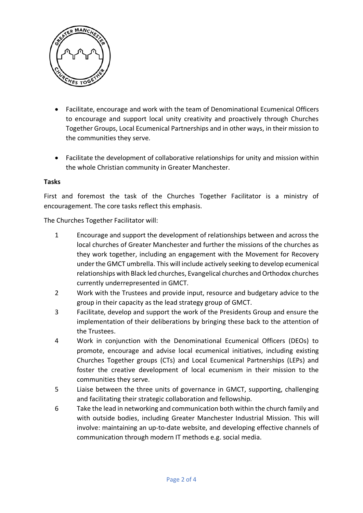

- Facilitate, encourage and work with the team of Denominational Ecumenical Officers to encourage and support local unity creativity and proactively through Churches Together Groups, Local Ecumenical Partnerships and in other ways, in their mission to the communities they serve.
- Facilitate the development of collaborative relationships for unity and mission within the whole Christian community in Greater Manchester.

#### **Tasks**

First and foremost the task of the Churches Together Facilitator is a ministry of encouragement. The core tasks reflect this emphasis.

The Churches Together Facilitator will:

- 1 Encourage and support the development of relationships between and across the local churches of Greater Manchester and further the missions of the churches as they work together, including an engagement with the Movement for Recovery under the GMCT umbrella. This will include actively seeking to develop ecumenical relationships with Black led churches, Evangelical churches and Orthodox churches currently underrepresented in GMCT.
- 2 Work with the Trustees and provide input, resource and budgetary advice to the group in their capacity as the lead strategy group of GMCT.
- 3 Facilitate, develop and support the work of the Presidents Group and ensure the implementation of their deliberations by bringing these back to the attention of the Trustees.
- 4 Work in conjunction with the Denominational Ecumenical Officers (DEOs) to promote, encourage and advise local ecumenical initiatives, including existing Churches Together groups (CTs) and Local Ecumenical Partnerships (LEPs) and foster the creative development of local ecumenism in their mission to the communities they serve.
- 5 Liaise between the three units of governance in GMCT, supporting, challenging and facilitating their strategic collaboration and fellowship.
- 6 Take the lead in networking and communication both within the church family and with outside bodies, including Greater Manchester Industrial Mission. This will involve: maintaining an up-to-date website, and developing effective channels of communication through modern IT methods e.g. social media.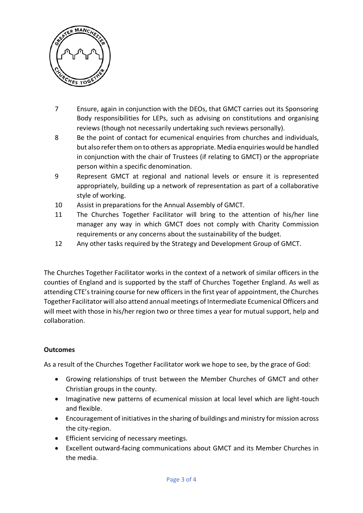

- 7 Ensure, again in conjunction with the DEOs, that GMCT carries out its Sponsoring Body responsibilities for LEPs, such as advising on constitutions and organising reviews (though not necessarily undertaking such reviews personally).
- 8 Be the point of contact for ecumenical enquiries from churches and individuals, but also refer them on to others as appropriate. Media enquiries would be handled in conjunction with the chair of Trustees (if relating to GMCT) or the appropriate person within a specific denomination.
- 9 Represent GMCT at regional and national levels or ensure it is represented appropriately, building up a network of representation as part of a collaborative style of working.
- 10 Assist in preparations for the Annual Assembly of GMCT.
- 11 The Churches Together Facilitator will bring to the attention of his/her line manager any way in which GMCT does not comply with Charity Commission requirements or any concerns about the sustainability of the budget.
- 12 Any other tasks required by the Strategy and Development Group of GMCT.

The Churches Together Facilitator works in the context of a network of similar officers in the counties of England and is supported by the staff of Churches Together England. As well as attending CTE's training course for new officers in the first year of appointment, the Churches Together Facilitator will also attend annual meetings of Intermediate Ecumenical Officers and will meet with those in his/her region two or three times a year for mutual support, help and collaboration.

### **Outcomes**

As a result of the Churches Together Facilitator work we hope to see, by the grace of God:

- Growing relationships of trust between the Member Churches of GMCT and other Christian groups in the county.
- Imaginative new patterns of ecumenical mission at local level which are light-touch and flexible.
- Encouragement of initiatives in the sharing of buildings and ministry for mission across the city-region.
- Efficient servicing of necessary meetings.
- Excellent outward-facing communications about GMCT and its Member Churches in the media.